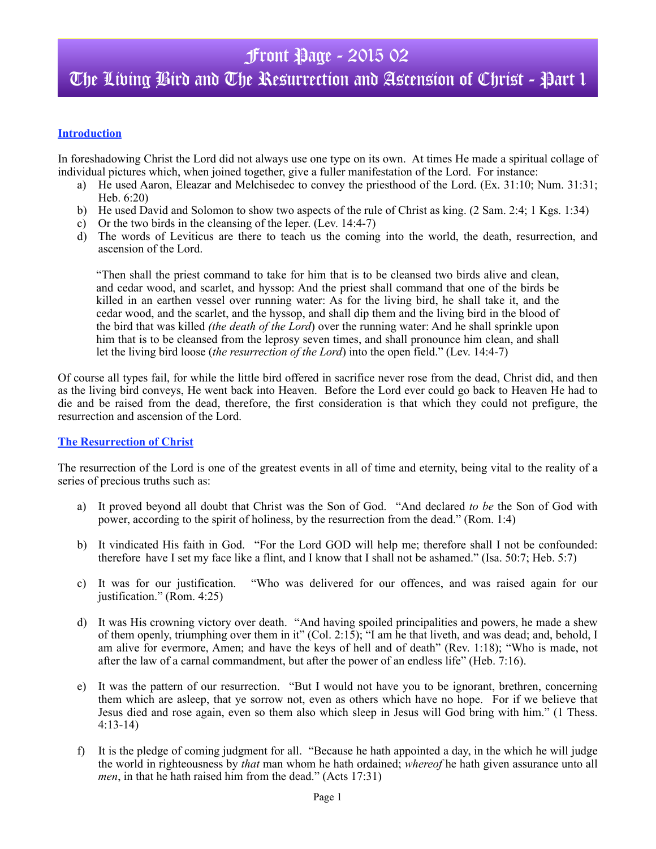## **Introduction**

In foreshadowing Christ the Lord did not always use one type on its own. At times He made a spiritual collage of individual pictures which, when joined together, give a fuller manifestation of the Lord. For instance:

- a) He used Aaron, Eleazar and Melchisedec to convey the priesthood of the Lord. (Ex. 31:10; Num. 31:31; Heb. 6:20)
- b) He used David and Solomon to show two aspects of the rule of Christ as king. (2 Sam. 2:4; 1 Kgs. 1:34)
- c) Or the two birds in the cleansing of the leper. (Lev. 14:4-7)
- d) The words of Leviticus are there to teach us the coming into the world, the death, resurrection, and ascension of the Lord.

"Then shall the priest command to take for him that is to be cleansed two birds alive and clean, and cedar wood, and scarlet, and hyssop: And the priest shall command that one of the birds be killed in an earthen vessel over running water: As for the living bird, he shall take it, and the cedar wood, and the scarlet, and the hyssop, and shall dip them and the living bird in the blood of the bird that was killed *(the death of the Lord*) over the running water: And he shall sprinkle upon him that is to be cleansed from the leprosy seven times, and shall pronounce him clean, and shall let the living bird loose (*the resurrection of the Lord*) into the open field." (Lev. 14:4-7)

Of course all types fail, for while the little bird offered in sacrifice never rose from the dead, Christ did, and then as the living bird conveys, He went back into Heaven. Before the Lord ever could go back to Heaven He had to die and be raised from the dead, therefore, the first consideration is that which they could not prefigure, the resurrection and ascension of the Lord.

### **The Resurrection of Christ**

The resurrection of the Lord is one of the greatest events in all of time and eternity, being vital to the reality of a series of precious truths such as:

- a) It proved beyond all doubt that Christ was the Son of God. "And declared *to be* the Son of God with power, according to the spirit of holiness, by the resurrection from the dead." (Rom. 1:4)
- b) It vindicated His faith in God. "For the Lord GOD will help me; therefore shall I not be confounded: therefore have I set my face like a flint, and I know that I shall not be ashamed." (Isa. 50:7; Heb. 5:7)
- c) It was for our justification. "Who was delivered for our offences, and was raised again for our justification." (Rom. 4:25)
- d) It was His crowning victory over death. "And having spoiled principalities and powers, he made a shew of them openly, triumphing over them in it" (Col. 2:15); "I am he that liveth, and was dead; and, behold, I am alive for evermore, Amen; and have the keys of hell and of death" (Rev. 1:18); "Who is made, not after the law of a carnal commandment, but after the power of an endless life" (Heb. 7:16).
- e) It was the pattern of our resurrection. "But I would not have you to be ignorant, brethren, concerning them which are asleep, that ye sorrow not, even as others which have no hope. For if we believe that Jesus died and rose again, even so them also which sleep in Jesus will God bring with him." (1 Thess. 4:13-14)
- f) It is the pledge of coming judgment for all. "Because he hath appointed a day, in the which he will judge the world in righteousness by *that* man whom he hath ordained; *whereof* he hath given assurance unto all *men*, in that he hath raised him from the dead." (Acts 17:31)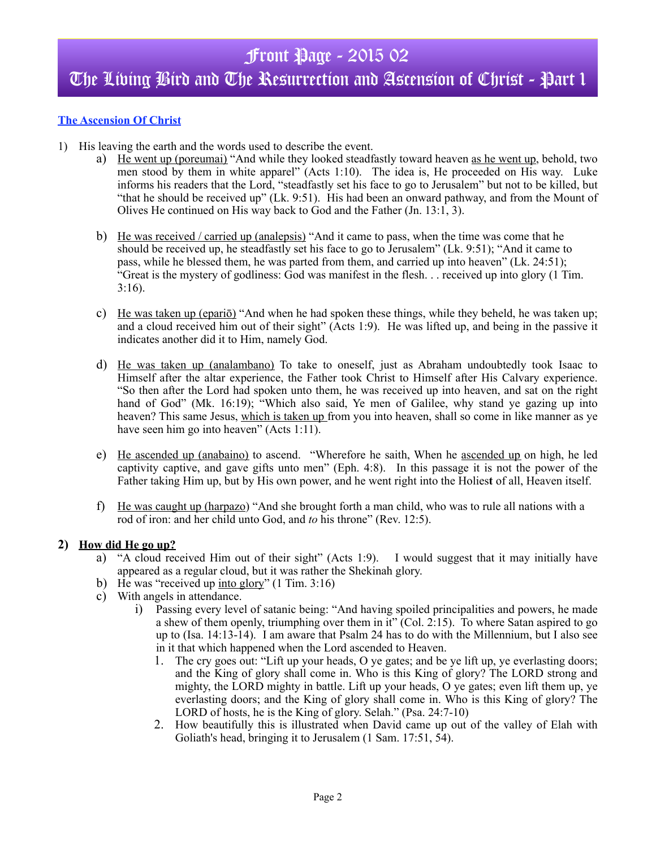## The Living Bird and The Resurrection and Ascension of Christ - Part 1

## **The Ascension Of Christ**

- 1) His leaving the earth and the words used to describe the event.
	- a) He went up (poreumai) "And while they looked steadfastly toward heaven as he went up, behold, two men stood by them in white apparel" (Acts 1:10). The idea is, He proceeded on His way. Luke informs his readers that the Lord, "steadfastly set his face to go to Jerusalem" but not to be killed, but "that he should be received up" (Lk. 9:51). His had been an onward pathway, and from the Mount of Olives He continued on His way back to God and the Father (Jn. 13:1, 3).
	- b) He was received / carried up (analepsis) "And it came to pass, when the time was come that he should be received up, he steadfastly set his face to go to Jerusalem" (Lk. 9:51); "And it came to pass, while he blessed them, he was parted from them, and carried up into heaven" (Lk. 24:51); "Great is the mystery of godliness: God was manifest in the flesh. . . received up into glory (1 Tim. 3:16).
	- c) He was taken up (epariō) "And when he had spoken these things, while they beheld, he was taken up; and a cloud received him out of their sight" (Acts 1:9). He was lifted up, and being in the passive it indicates another did it to Him, namely God.
	- d) He was taken up (analambano) To take to oneself, just as Abraham undoubtedly took Isaac to Himself after the altar experience, the Father took Christ to Himself after His Calvary experience. "So then after the Lord had spoken unto them, he was received up into heaven, and sat on the right hand of God" (Mk. 16:19); "Which also said, Ye men of Galilee, why stand ye gazing up into heaven? This same Jesus, which is taken up from you into heaven, shall so come in like manner as ye have seen him go into heaven" (Acts 1:11).
	- e) He ascended up (anabaino) to ascend. "Wherefore he saith, When he ascended up on high, he led captivity captive, and gave gifts unto men" (Eph. 4:8). In this passage it is not the power of the Father taking Him up, but by His own power, and he went right into the Holies**t** of all, Heaven itself.
	- f) He was caught up (harpazo) "And she brought forth a man child, who was to rule all nations with a rod of iron: and her child unto God, and *to* his throne" (Rev. 12:5).

### **2) How did He go up?**

- a) "A cloud received Him out of their sight" (Acts 1:9). I would suggest that it may initially have appeared as a regular cloud, but it was rather the Shekinah glory.
- b) He was "received up into glory" (1 Tim. 3:16)
- c) With angels in attendance.
	- i) Passing every level of satanic being: "And having spoiled principalities and powers, he made a shew of them openly, triumphing over them in it" (Col. 2:15). To where Satan aspired to go up to (Isa. 14:13-14). I am aware that Psalm 24 has to do with the Millennium, but I also see in it that which happened when the Lord ascended to Heaven.
		- 1. The cry goes out: "Lift up your heads, O ye gates; and be ye lift up, ye everlasting doors; and the King of glory shall come in. Who is this King of glory? The LORD strong and mighty, the LORD mighty in battle. Lift up your heads, O ye gates; even lift them up, ye everlasting doors; and the King of glory shall come in. Who is this King of glory? The LORD of hosts, he is the King of glory. Selah." (Psa. 24:7-10)
		- 2. How beautifully this is illustrated when David came up out of the valley of Elah with Goliath's head, bringing it to Jerusalem (1 Sam. 17:51, 54).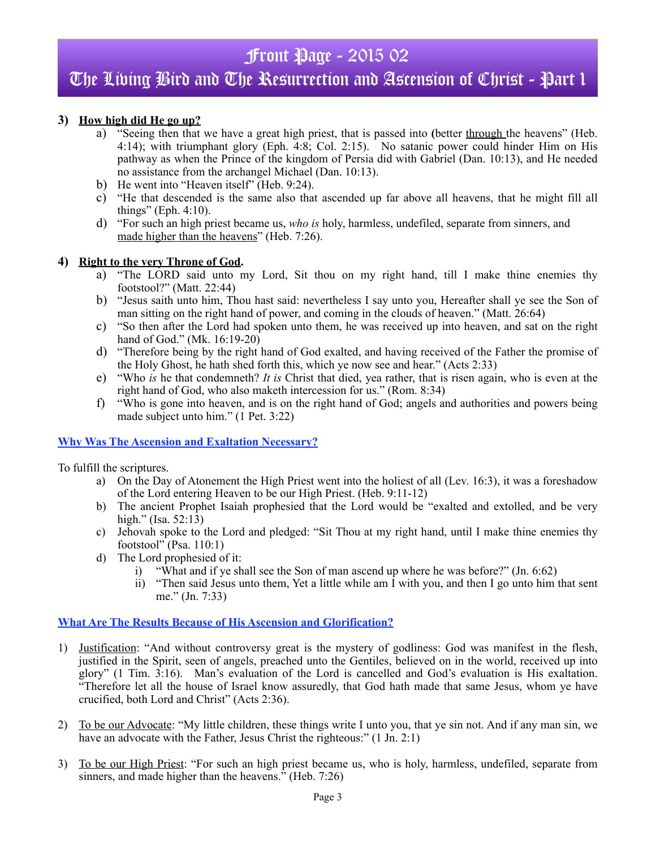## The Living Bird and The Resurrection and Ascension of Christ - Part 1

## **3) How high did He go up?**

- a) "Seeing then that we have a great high priest, that is passed into **(**better through the heavens" (Heb. 4:14); with triumphant glory (Eph. 4:8; Col. 2:15). No satanic power could hinder Him on His pathway as when the Prince of the kingdom of Persia did with Gabriel (Dan. 10:13), and He needed no assistance from the archangel Michael (Dan. 10:13).
- b) He went into "Heaven itself" (Heb. 9:24).
- c) "He that descended is the same also that ascended up far above all heavens, that he might fill all things" (Eph. 4:10).
- d) "For such an high priest became us, *who is* holy, harmless, undefiled, separate from sinners, and made higher than the heavens" (Heb. 7:26).

### **4) Right to the very Throne of God.**

- a) "The LORD said unto my Lord, Sit thou on my right hand, till I make thine enemies thy footstool?" (Matt. 22:44)
- b) "Jesus saith unto him, Thou hast said: nevertheless I say unto you, Hereafter shall ye see the Son of man sitting on the right hand of power, and coming in the clouds of heaven." (Matt. 26:64)
- c) "So then after the Lord had spoken unto them, he was received up into heaven, and sat on the right hand of God." (Mk. 16:19-20)
- d) "Therefore being by the right hand of God exalted, and having received of the Father the promise of the Holy Ghost, he hath shed forth this, which ye now see and hear." (Acts 2:33)
- e) "Who *is* he that condemneth? *It is* Christ that died, yea rather, that is risen again, who is even at the right hand of God, who also maketh intercession for us." (Rom. 8:34)
- f) "Who is gone into heaven, and is on the right hand of God; angels and authorities and powers being made subject unto him." (1 Pet. 3:22)

### **Why Was The Ascension and Exaltation Necessary?**

To fulfill the scriptures.

- a) On the Day of Atonement the High Priest went into the holiest of all (Lev. 16:3), it was a foreshadow of the Lord entering Heaven to be our High Priest. (Heb. 9:11-12)
- b) The ancient Prophet Isaiah prophesied that the Lord would be "exalted and extolled, and be very high." (Isa. 52:13)
- c) Jehovah spoke to the Lord and pledged: "Sit Thou at my right hand, until I make thine enemies thy footstool" (Psa. 110:1)
- d) The Lord prophesied of it:
	- i) "What and if ye shall see the Son of man ascend up where he was before?" (Jn. 6:62)
	- ii) "Then said Jesus unto them, Yet a little while am I with you, and then I go unto him that sent me." (Jn. 7:33)

### **What Are The Results Because of His Ascension and Glorification?**

- 1) Justification: "And without controversy great is the mystery of godliness: God was manifest in the flesh, justified in the Spirit, seen of angels, preached unto the Gentiles, believed on in the world, received up into glory" (1 Tim. 3:16). Man's evaluation of the Lord is cancelled and God's evaluation is His exaltation. "Therefore let all the house of Israel know assuredly, that God hath made that same Jesus, whom ye have crucified, both Lord and Christ" (Acts 2:36).
- 2) To be our Advocate: "My little children, these things write I unto you, that ye sin not. And if any man sin, we have an advocate with the Father, Jesus Christ the righteous:" (1 Jn. 2:1)
- 3) To be our High Priest: "For such an high priest became us, who is holy, harmless, undefiled, separate from sinners, and made higher than the heavens." (Heb. 7:26)